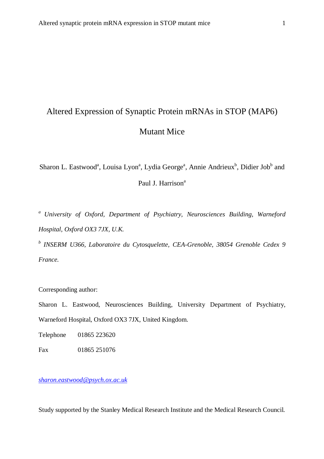# Altered Expression of Synaptic Protein mRNAs in STOP (MAP6) Mutant Mice

Sharon L. Eastwood<sup>a</sup>, Louisa Lyon<sup>a</sup>, Lydia George<sup>a</sup>, Annie Andrieux<sup>b</sup>, Didier Job<sup>b</sup> and Paul J. Harrison<sup>a</sup>

*<sup>a</sup>University of Oxford, Department of Psychiatry, Neurosciences Building, Warneford Hospital, Oxford OX3 7JX, U.K.*

*b INSERM U366, Laboratoire du Cytosquelette, CEA-Grenoble, 38054 Grenoble Cedex 9 France.*

Corresponding author:

Sharon L. Eastwood, Neurosciences Building, University Department of Psychiatry, Warneford Hospital, Oxford OX3 7JX, United Kingdom.

Telephone 01865 223620

Fax 01865 251076

*sharon.eastwood@psych.ox.ac.uk*

Study supported by the Stanley Medical Research Institute and the Medical Research Council.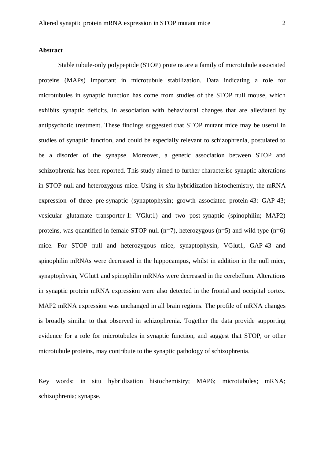#### **Abstract**

Stable tubule-only polypeptide (STOP) proteins are a family of microtubule associated proteins (MAPs) important in microtubule stabilization. Data indicating a role for microtubules in synaptic function has come from studies of the STOP null mouse, which exhibits synaptic deficits, in association with behavioural changes that are alleviated by antipsychotic treatment. These findings suggested that STOP mutant mice may be useful in studies of synaptic function, and could be especially relevant to schizophrenia, postulated to be a disorder of the synapse. Moreover, a genetic association between STOP and schizophrenia has been reported. This study aimed to further characterise synaptic alterations in STOP null and heterozygous mice. Using *in situ* hybridization histochemistry, the mRNA expression of three pre-synaptic (synaptophysin; growth associated protein-43: GAP-43; vesicular glutamate transporter-1: VGlut1) and two post-synaptic (spinophilin; MAP2) proteins, was quantified in female STOP null  $(n=7)$ , heterozygous  $(n=5)$  and wild type  $(n=6)$ mice. For STOP null and heterozygous mice, synaptophysin, VGlut1, GAP-43 and spinophilin mRNAs were decreased in the hippocampus, whilst in addition in the null mice, synaptophysin, VGlut1 and spinophilin mRNAs were decreased in the cerebellum. Alterations in synaptic protein mRNA expression were also detected in the frontal and occipital cortex. MAP2 mRNA expression was unchanged in all brain regions. The profile of mRNA changes is broadly similar to that observed in schizophrenia. Together the data provide supporting evidence for a role for microtubules in synaptic function, and suggest that STOP, or other microtubule proteins, may contribute to the synaptic pathology of schizophrenia.

Key words: in situ hybridization histochemistry; MAP6; microtubules; mRNA; schizophrenia; synapse.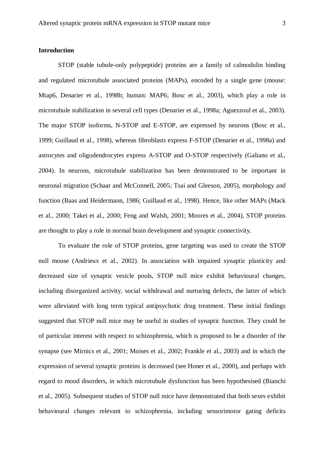# **Introduction**

STOP (stable tubule-only polypeptide) proteins are a family of calmodulin binding and regulated microtubule associated proteins (MAPs), encoded by a single gene (mouse: Mtap6, Denarier et al., 1998b; human: MAP6; Bosc et al., 2003), which play a role in microtubule stabilization in several cell types (Denarier et al., 1998a; Aguezzoul et al., 2003). The major STOP isoforms, N-STOP and E-STOP, are expressed by neurons (Bosc et al., 1999; Guillaud et al., 1998), whereas fibroblasts express F-STOP (Denarier et al., 1998a) and astrocytes and oligodendrocytes express A-STOP and O-STOP respectively (Galiano et al., 2004). In neurons, microtubule stabilization has been demonstrated to be important in neuronal migration (Schaar and McConnell, 2005; Tsai and Gleeson, 2005), morphology and function (Baas and Heidermann, 1986; Guillaud et al., 1998). Hence, like other MAPs (Mack et al., 2000; Takei et al., 2000; Feng and Walsh, 2001; Moores et al., 2004), STOP proteins are thought to play a role in normal brain development and synaptic connectivity.

To evaluate the role of STOP proteins, gene targeting was used to create the STOP null mouse (Andrieux et al., 2002). In association with impaired synaptic plasticity and decreased size of synaptic vesicle pools, STOP null mice exhibit behavioural changes, including disorganized activity, social withdrawal and nurturing defects, the latter of which were alleviated with long term typical antipsychotic drug treatment. These initial findings suggested that STOP null mice may be useful in studies of synaptic function. They could be of particular interest with respect to schizophrenia, which is proposed to be a disorder of the synapse (see Mirnics et al., 2001; Moises et al., 2002; Frankle et al., 2003) and in which the expression of several synaptic proteins is decreased (see Honer et al., 2000), and perhaps with regard to mood disorders, in which microtubule dysfunction has been hypothesised (Bianchi et al., 2005). Subsequent studies of STOP null mice have demonstrated that both sexes exhibit behavioural changes relevant to schizophrenia, including sensorimotor gating deficits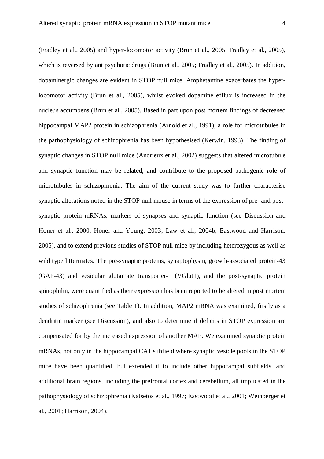(Fradley et al., 2005) and hyper-locomotor activity (Brun et al., 2005; Fradley et al., 2005), which is reversed by antipsychotic drugs (Brun et al., 2005; Fradley et al., 2005). In addition, dopaminergic changes are evident in STOP null mice. Amphetamine exacerbates the hyperlocomotor activity (Brun et al., 2005), whilst evoked dopamine efflux is increased in the nucleus accumbens (Brun et al., 2005). Based in part upon post mortem findings of decreased hippocampal MAP2 protein in schizophrenia (Arnold et al., 1991), a role for microtubules in the pathophysiology of schizophrenia has been hypothesised (Kerwin, 1993). The finding of synaptic changes in STOP null mice (Andrieux et al., 2002) suggests that altered microtubule and synaptic function may be related, and contribute to the proposed pathogenic role of microtubules in schizophrenia. The aim of the current study was to further characterise synaptic alterations noted in the STOP null mouse in terms of the expression of pre- and postsynaptic protein mRNAs, markers of synapses and synaptic function (see Discussion and Honer et al., 2000; Honer and Young, 2003; Law et al., 2004b; Eastwood and Harrison, 2005), and to extend previous studies of STOP null mice by including heterozygous as well as wild type littermates. The pre-synaptic proteins, synaptophysin, growth-associated protein-43 (GAP-43) and vesicular glutamate transporter-1 (VGlut1), and the post-synaptic protein spinophilin, were quantified as their expression has been reported to be altered in post mortem studies of schizophrenia (see Table 1). In addition, MAP2 mRNA was examined, firstly as a dendritic marker (see Discussion), and also to determine if deficits in STOP expression are compensated for by the increased expression of another MAP. We examined synaptic protein mRNAs, not only in the hippocampal CA1 subfield where synaptic vesicle pools in the STOP mice have been quantified, but extended it to include other hippocampal subfields, and additional brain regions, including the prefrontal cortex and cerebellum, all implicated in the pathophysiology of schizophrenia (Katsetos et al., 1997; Eastwood et al., 2001; Weinberger et al., 2001; Harrison, 2004).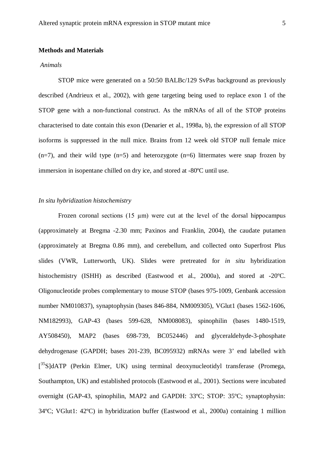### **Methods and Materials**

#### *Animals*

STOP mice were generated on a 50:50 BALBc/129 SvPas background as previously described (Andrieux et al., 2002), with gene targeting being used to replace exon 1 of the STOP gene with a non-functional construct. As the mRNAs of all of the STOP proteins characterised to date contain this exon (Denarier et al., 1998a, b), the expression of all STOP isoforms is suppressed in the null mice. Brains from 12 week old STOP null female mice  $(n=7)$ , and their wild type  $(n=5)$  and heterozygote  $(n=6)$  littermates were snap frozen by immersion in isopentane chilled on dry ice, and stored at -80ºC until use.

# *In situ hybridization histochemistry*

Frozen coronal sections (15  $\mu$ m) were cut at the level of the dorsal hippocampus (approximately at Bregma -2.30 mm; Paxinos and Franklin, 2004), the caudate putamen (approximately at Bregma 0.86 mm), and cerebellum, and collected onto Superfrost Plus slides (VWR, Lutterworth, UK). Slides were pretreated for *in situ* hybridization histochemistry (ISHH) as described (Eastwood et al., 2000a), and stored at -20°C. Oligonucleotide probes complementary to mouse STOP (bases 975-1009, Genbank accession number NM010837), synaptophysin (bases 846-884, NM009305), VGlut1 (bases 1562-1606, NM182993), GAP-43 (bases 599-628, NM008083), spinophilin (bases 1480-1519, AY508450), MAP2 (bases 698-739, BC052446) and glyceraldehyde-3-phosphate dehydrogenase (GAPDH; bases 201-239, BC095932) mRNAs were 3' end labelled with [<sup>35</sup>S]dATP (Perkin Elmer, UK) using terminal deoxynucleotidyl transferase (Promega, Southampton, UK) and established protocols (Eastwood et al., 2001). Sections were incubated overnight (GAP-43, spinophilin, MAP2 and GAPDH: 33ºC; STOP: 35ºC; synaptophysin: 34ºC; VGlut1: 42ºC) in hybridization buffer (Eastwood et al., 2000a) containing 1 million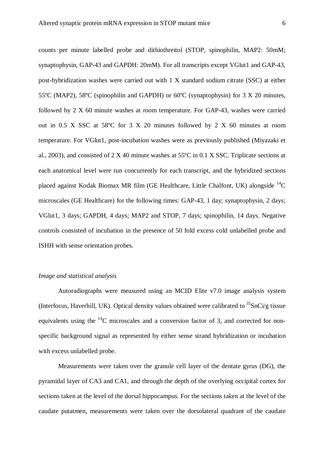counts per minute labelled probe and dithiothreitol (STOP, spinophilin, MAP2: 50mM; synaptophysin, GAP-43 and GAPDH: 20mM). For all transcripts except VGlut1 and GAP-43, post-hybridization washes were carried out with 1 X standard sodium citrate (SSC) at either 55ºC (MAP2), 58ºC (spinophilin and GAPDH) or 60ºC (synaptophysin) for 3 X 20 minutes, followed by 2 X 60 minute washes at room temperature. For GAP-43, washes were carried out in 0.5 X SSC at 58ºC for 3 X 20 minutes followed by 2 X 60 minutes at room temperature. For VGlut1, post-incubation washes were as previously published (Miyazaki et al., 2003), and consisted of 2 X 40 minute washes at 55ºC in 0.1 X SSC. Triplicate sections at each anatomical level were run concurrently for each transcript, and the hybridized sections placed against Kodak Biomax MR film (GE Healthcare, Little Chalfont, UK) alongside  ${}^{14}C$ microscales (GE Healthcare) for the following times: GAP-43, 1 day; synaptophysin, 2 days; VGlut1, 3 days; GAPDH, 4 days; MAP2 and STOP, 7 days; spinophilin, 14 days. Negative controls consisted of incubation in the presence of 50 fold excess cold unlabelled probe and ISHH with sense orientation probes.

## *Image and statistical analysis*

Autoradiographs were measured using an MCID Elite v7.0 image analysis system (Interfocus, Haverhill, UK). Optical density values obtained were calibrated to  ${}^{35}SnCi/g$  tissue equivalents using the  $^{14}$ C microscales and a conversion factor of 3, and corrected for nonspecific background signal as represented by either sense strand hybridization or incubation with excess unlabelled probe.

Measurements were taken over the granule cell layer of the dentate gyrus (DG), the pyramidal layer of CA3 and CA1, and through the depth of the overlying occipital cortex for sections taken at the level of the dorsal hippocampus. For the sections taken at the level of the caudate putatmen, measurements were taken over the dorsolateral quadrant of the caudate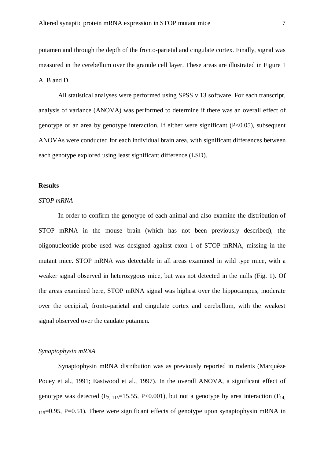putamen and through the depth of the fronto-parietal and cingulate cortex. Finally, signal was measured in the cerebellum over the granule cell layer. These areas are illustrated in Figure 1 A, B and D.

All statistical analyses were performed using SPSS v 13 software. For each transcript, analysis of variance (ANOVA) was performed to determine if there was an overall effect of genotype or an area by genotype interaction. If either were significant (P<0.05), subsequent ANOVAs were conducted for each individual brain area, with significant differences between each genotype explored using least significant difference (LSD).

#### **Results**

#### *STOP mRNA*

In order to confirm the genotype of each animal and also examine the distribution of STOP mRNA in the mouse brain (which has not been previously described), the oligonucleotide probe used was designed against exon 1 of STOP mRNA, missing in the mutant mice. STOP mRNA was detectable in all areas examined in wild type mice, with a weaker signal observed in heterozygous mice, but was not detected in the nulls (Fig. 1). Of the areas examined here, STOP mRNA signal was highest over the hippocampus, moderate over the occipital, fronto-parietal and cingulate cortex and cerebellum, with the weakest signal observed over the caudate putamen.

#### *Synaptophysin mRNA*

Synaptophysin mRNA distribution was as previously reported in rodents (Marquèze Pouey et al., 1991; Eastwood et al., 1997). In the overall ANOVA, a significant effect of genotype was detected  $(F_{2, 115}=15.55, P<0.001)$ , but not a genotype by area interaction  $(F_{14, 15}=15.55, P<0.001)$  $115=0.95$ , P=0.51). There were significant effects of genotype upon synaptophysin mRNA in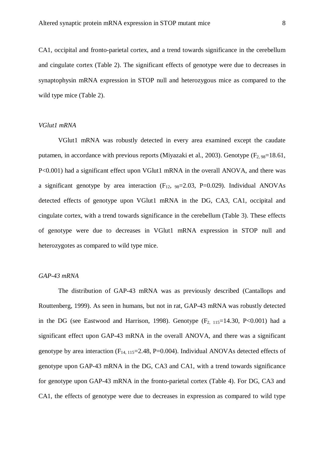CA1, occipital and fronto-parietal cortex, and a trend towards significance in the cerebellum and cingulate cortex (Table 2). The significant effects of genotype were due to decreases in synaptophysin mRNA expression in STOP null and heterozygous mice as compared to the wild type mice (Table 2).

## *VGlut1 mRNA*

VGlut1 mRNA was robustly detected in every area examined except the caudate putamen, in accordance with previous reports (Miyazaki et al., 2003). Genotype  $(F_{2, 98}=18.61,$ P<0.001) had a significant effect upon VGlut1 mRNA in the overall ANOVA, and there was a significant genotype by area interaction  $(F_{12}, 98=2.03, P=0.029)$ . Individual ANOVAs detected effects of genotype upon VGlut1 mRNA in the DG, CA3, CA1, occipital and cingulate cortex, with a trend towards significance in the cerebellum (Table 3). These effects of genotype were due to decreases in VGlut1 mRNA expression in STOP null and heterozygotes as compared to wild type mice.

#### *GAP-43 mRNA*

The distribution of GAP-43 mRNA was as previously described (Cantallops and Routtenberg, 1999). As seen in humans, but not in rat, GAP-43 mRNA was robustly detected in the DG (see Eastwood and Harrison, 1998). Genotype  $(F_{2,115}=14.30, P<0.001)$  had a significant effect upon GAP-43 mRNA in the overall ANOVA, and there was a significant genotype by area interaction  $(F_{14, 115}=2.48, P=0.004)$ . Individual ANOVAs detected effects of genotype upon GAP-43 mRNA in the DG, CA3 and CA1, with a trend towards significance for genotype upon GAP-43 mRNA in the fronto-parietal cortex (Table 4). For DG, CA3 and CA1, the effects of genotype were due to decreases in expression as compared to wild type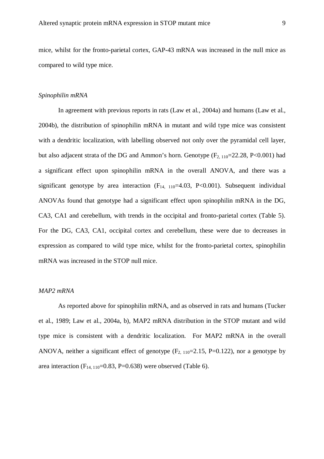mice, whilst for the fronto-parietal cortex, GAP-43 mRNA was increased in the null mice as compared to wild type mice.

#### *Spinophilin mRNA*

In agreement with previous reports in rats (Law et al., 2004a) and humans (Law et al., 2004b), the distribution of spinophilin mRNA in mutant and wild type mice was consistent with a dendritic localization, with labelling observed not only over the pyramidal cell layer, but also adjacent strata of the DG and Ammon's horn. Genotype  $(F_{2, 110} = 22.28, P < 0.001)$  had a significant effect upon spinophilin mRNA in the overall ANOVA, and there was a significant genotype by area interaction  $(F_{14, 110} = 4.03, P < 0.001)$ . Subsequent individual ANOVAs found that genotype had a significant effect upon spinophilin mRNA in the DG, CA3, CA1 and cerebellum, with trends in the occipital and fronto-parietal cortex (Table 5). For the DG, CA3, CA1, occipital cortex and cerebellum, these were due to decreases in expression as compared to wild type mice, whilst for the fronto-parietal cortex, spinophilin mRNA was increased in the STOP null mice.

#### *MAP2 mRNA*

As reported above for spinophilin mRNA, and as observed in rats and humans (Tucker et al., 1989; Law et al., 2004a, b), MAP2 mRNA distribution in the STOP mutant and wild type mice is consistent with a dendritic localization. For MAP2 mRNA in the overall ANOVA, neither a significant effect of genotype  $(F_{2, 110}=2.15, P=0.122)$ , nor a genotype by area interaction ( $F_{14, 110}$ =0.83, P=0.638) were observed (Table 6).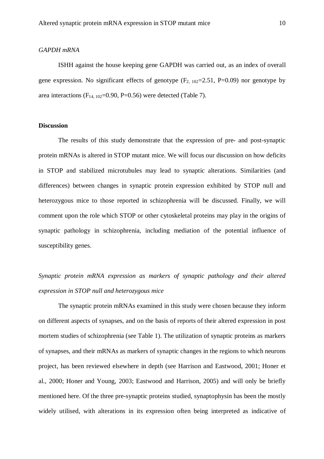#### *GAPDH mRNA*

ISHH against the house keeping gene GAPDH was carried out, as an index of overall gene expression. No significant effects of genotype  $(F_{2, 102} = 2.51, P = 0.09)$  nor genotype by area interactions ( $F_{14, 102}$ =0.90, P=0.56) were detected (Table 7).

# **Discussion**

The results of this study demonstrate that the expression of pre- and post-synaptic protein mRNAs is altered in STOP mutant mice. We will focus our discussion on how deficits in STOP and stabilized microtubules may lead to synaptic alterations. Similarities (and differences) between changes in synaptic protein expression exhibited by STOP null and heterozygous mice to those reported in schizophrenia will be discussed. Finally, we will comment upon the role which STOP or other cytoskeletal proteins may play in the origins of synaptic pathology in schizophrenia, including mediation of the potential influence of susceptibility genes.

# *Synaptic protein mRNA expression as markers of synaptic pathology and their altered expression in STOP null and heterozygous mice*

The synaptic protein mRNAs examined in this study were chosen because they inform on different aspects of synapses, and on the basis of reports of their altered expression in post mortem studies of schizophrenia (see Table 1). The utilization of synaptic proteins as markers of synapses, and their mRNAs as markers of synaptic changes in the regions to which neurons project, has been reviewed elsewhere in depth (see Harrison and Eastwood, 2001; Honer et al., 2000; Honer and Young, 2003; Eastwood and Harrison, 2005) and will only be briefly mentioned here. Of the three pre-synaptic proteins studied, synaptophysin has been the mostly widely utilised, with alterations in its expression often being interpreted as indicative of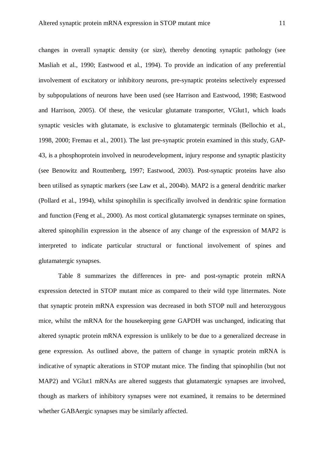changes in overall synaptic density (or size), thereby denoting synaptic pathology (see Masliah et al., 1990; Eastwood et al., 1994). To provide an indication of any preferential involvement of excitatory or inhibitory neurons, pre-synaptic proteins selectively expressed by subpopulations of neurons have been used (see Harrison and Eastwood, 1998; Eastwood and Harrison, 2005). Of these, the vesicular glutamate transporter, VGlut1, which loads synaptic vesicles with glutamate, is exclusive to glutamatergic terminals (Bellochio et al., 1998, 2000; Fremau et al., 2001). The last pre-synaptic protein examined in this study, GAP-43, is a phosphoprotein involved in neurodevelopment, injury response and synaptic plasticity (see Benowitz and Routtenberg, 1997; Eastwood, 2003). Post-synaptic proteins have also been utilised as synaptic markers (see Law et al., 2004b). MAP2 is a general dendritic marker (Pollard et al., 1994), whilst spinophilin is specifically involved in dendritic spine formation and function (Feng et al., 2000). As most cortical glutamatergic synapses terminate on spines, altered spinophilin expression in the absence of any change of the expression of MAP2 is interpreted to indicate particular structural or functional involvement of spines and glutamatergic synapses.

Table 8 summarizes the differences in pre- and post-synaptic protein mRNA expression detected in STOP mutant mice as compared to their wild type littermates. Note that synaptic protein mRNA expression was decreased in both STOP null and heterozygous mice, whilst the mRNA for the housekeeping gene GAPDH was unchanged, indicating that altered synaptic protein mRNA expression is unlikely to be due to a generalized decrease in gene expression. As outlined above, the pattern of change in synaptic protein mRNA is indicative of synaptic alterations in STOP mutant mice. The finding that spinophilin (but not MAP2) and VGlut1 mRNAs are altered suggests that glutamatergic synapses are involved, though as markers of inhibitory synapses were not examined, it remains to be determined whether GABAergic synapses may be similarly affected.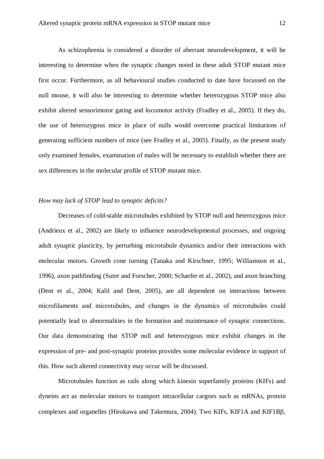As schizophrenia is considered a disorder of aberrant neurodevelopment, it will be interesting to determine when the synaptic changes noted in these adult STOP mutant mice first occur. Furthermore, as all behavioural studies conducted to date have focussed on the null mouse, it will also be interesting to determine whether heterozygous STOP mice also exhibit altered sensorimotor gating and locomotor activity (Fradley et al., 2005). If they do, the use of heterozygous mice in place of nulls would overcome practical limitations of generating sufficient numbers of mice (see Fradley et al., 2005). Finally, as the present study only examined females, examination of males will be necessary to establish whether there are sex differences in the molecular profile of STOP mutant mice.

# *How may lack of STOP lead to synaptic deficits?*

Decreases of cold-stable microtubules exhibited by STOP null and heterozygous mice (Andrieux et al., 2002) are likely to influence neurodevelopmental processes, and ongoing adult synaptic plasticity, by perturbing microtubule dynamics and/or their interactions with molecular motors. Growth cone turning (Tanaka and Kirschner, 1995; Williamson et al., 1996), axon pathfinding (Suter and Forscher, 2000; Schaefer et al., 2002), and axon branching (Dent et al., 2004; Kalil and Dent, 2005), are all dependent on interactions between microfilaments and microtubules, and changes in the dynamics of microtubules could potentially lead to abnormalities in the formation and maintenance of synaptic connections. Our data demonstrating that STOP null and heterozygous mice exhibit changes in the expression of pre- and post-synaptic proteins provides some molecular evidence in support of this. How such altered connectivity may occur will be discussed.

Microtubules function as rails along which kinesin superfamily proteins (KIFs) and dyneins act as molecular motors to transport intracellular cargoes such as mRNAs, protein complexes and organelles (Hirokawa and Takemura, 2004). Two KIFs, KIF1A and KIF1B,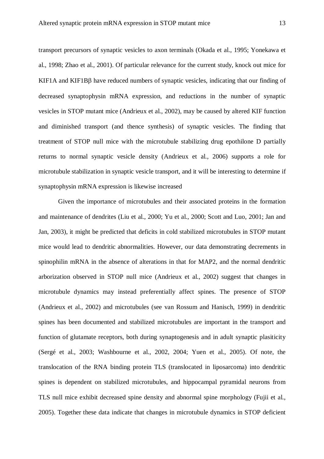transport precursors of synaptic vesicles to axon terminals (Okada et al., 1995; Yonekawa et al., 1998; Zhao et al., 2001). Of particular relevance for the current study, knock out mice for KIF1A and KIF1B $\beta$  have reduced numbers of synaptic vesicles, indicating that our finding of decreased synaptophysin mRNA expression, and reductions in the number of synaptic vesicles in STOP mutant mice (Andrieux et al., 2002), may be caused by altered KIF function and diminished transport (and thence synthesis) of synaptic vesicles. The finding that treatment of STOP null mice with the microtubule stabilizing drug epothilone D partially returns to normal synaptic vesicle density (Andrieux et al., 2006) supports a role for microtubule stabilization in synaptic vesicle transport, and it will be interesting to determine if synaptophysin mRNA expression is likewise increased

Given the importance of microtubules and their associated proteins in the formation and maintenance of dendrites (Liu et al., 2000; Yu et al., 2000; Scott and Luo, 2001; Jan and Jan, 2003), it might be predicted that deficits in cold stabilized microtubules in STOP mutant mice would lead to dendritic abnormalities. However, our data demonstrating decrements in spinophilin mRNA in the absence of alterations in that for MAP2, and the normal dendritic arborization observed in STOP null mice (Andrieux et al., 2002) suggest that changes in microtubule dynamics may instead preferentially affect spines. The presence of STOP (Andrieux et al., 2002) and microtubules (see van Rossum and Hanisch, 1999) in dendritic spines has been documented and stabilized microtubules are important in the transport and function of glutamate receptors, both during synaptogenesis and in adult synaptic plasiticity (Sergé et al., 2003; Washbourne et al., 2002, 2004; Yuen et al., 2005). Of note, the translocation of the RNA binding protein TLS (translocated in liposarcoma) into dendritic spines is dependent on stabilized microtubules, and hippocampal pyramidal neurons from TLS null mice exhibit decreased spine density and abnormal spine morphology (Fujii et al., 2005). Together these data indicate that changes in microtubule dynamics in STOP deficient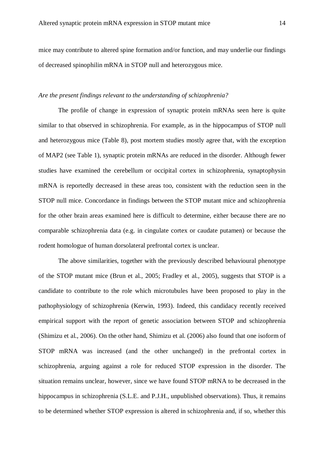mice may contribute to altered spine formation and/or function, and may underlie our findings of decreased spinophilin mRNA in STOP null and heterozygous mice.

#### *Are the present findings relevant to the understanding of schizophrenia?*

The profile of change in expression of synaptic protein mRNAs seen here is quite similar to that observed in schizophrenia. For example, as in the hippocampus of STOP null and heterozygous mice (Table 8), post mortem studies mostly agree that, with the exception of MAP2 (see Table 1), synaptic protein mRNAs are reduced in the disorder. Although fewer studies have examined the cerebellum or occipital cortex in schizophrenia, synaptophysin mRNA is reportedly decreased in these areas too, consistent with the reduction seen in the STOP null mice. Concordance in findings between the STOP mutant mice and schizophrenia for the other brain areas examined here is difficult to determine, either because there are no comparable schizophrenia data (e.g. in cingulate cortex or caudate putamen) or because the rodent homologue of human dorsolateral prefrontal cortex is unclear.

The above similarities, together with the previously described behavioural phenotype of the STOP mutant mice (Brun et al., 2005; Fradley et al., 2005), suggests that STOP is a candidate to contribute to the role which microtubules have been proposed to play in the pathophysiology of schizophrenia (Kerwin, 1993). Indeed, this candidacy recently received empirical support with the report of genetic association between STOP and schizophrenia (Shimizu et al., 2006). On the other hand, Shimizu et al. (2006) also found that one isoform of STOP mRNA was increased (and the other unchanged) in the prefrontal cortex in schizophrenia, arguing against a role for reduced STOP expression in the disorder. The situation remains unclear, however, since we have found STOP mRNA to be decreased in the hippocampus in schizophrenia (S.L.E. and P.J.H., unpublished observations). Thus, it remains to be determined whether STOP expression is altered in schizophrenia and, if so, whether this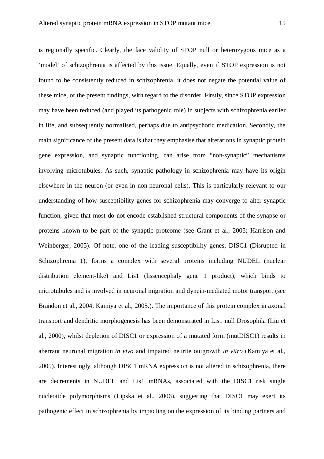is regionally specific. Clearly, the face validity of STOP null or heterozygous mice as a 'model' of schizophrenia is affected by this issue. Equally, even if STOP expression is not found to be consistently reduced in schizophrenia, it does not negate the potential value of these mice, or the present findings, with regard to the disorder. Firstly, since STOP expression may have been reduced (and played its pathogenic role) in subjects with schizophrenia earlier in life, and subsequently normalised, perhaps due to antipsychotic medication. Secondly, the main significance of the present data is that they emphasise that alterations in synaptic protein gene expression, and synaptic functioning, can arise from "non-synaptic" mechanisms involving microtubules. As such, synaptic pathology in schizophrenia may have its origin elsewhere in the neuron (or even in non-neuronal cells). This is particularly relevant to our understanding of how susceptibility genes for schizophrenia may converge to alter synaptic function, given that most do not encode established structural components of the synapse or proteins known to be part of the synaptic proteome (see Grant et al., 2005; Harrison and Weinberger, 2005). Of note, one of the leading susceptibility genes, DISC1 (Disrupted in Schizophrenia 1), forms a complex with several proteins including NUDEL (nuclear distribution element-like) and Lis1 (lissencephaly gene 1 product), which binds to microtubules and is involved in neuronal migration and dynein-mediated motor transport (see Brandon et al., 2004; Kamiya et al., 2005.). The importance of this protein complex in axonal transport and dendritic morphogenesis has been demonstrated in Lis1 null Drosophila (Liu et al., 2000), whilst depletion of DISC1 or expression of a mutated form (mutDISC1) results in aberrant neuronal migration *in vivo* and impaired neurite outgrowth *in vitro* (Kamiya et al., 2005). Interestingly, although DISC1 mRNA expression is not altered in schizophrenia, there are decrements in NUDEL and Lis1 mRNAs, associated with the DISC1 risk single nucleotide polymorphisms (Lipska et al., 2006), suggesting that DISC1 may exert its pathogenic effect in schizophrenia by impacting on the expression of its binding partners and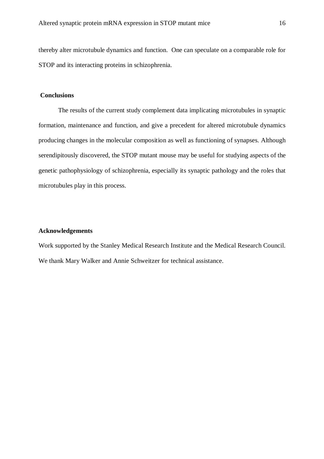thereby alter microtubule dynamics and function. One can speculate on a comparable role for STOP and its interacting proteins in schizophrenia.

#### **Conclusions**

The results of the current study complement data implicating microtubules in synaptic formation, maintenance and function, and give a precedent for altered microtubule dynamics producing changes in the molecular composition as well as functioning of synapses. Although serendipitously discovered, the STOP mutant mouse may be useful for studying aspects of the genetic pathophysiology of schizophrenia, especially its synaptic pathology and the roles that microtubules play in this process.

# **Acknowledgements**

Work supported by the Stanley Medical Research Institute and the Medical Research Council. We thank Mary Walker and Annie Schweitzer for technical assistance.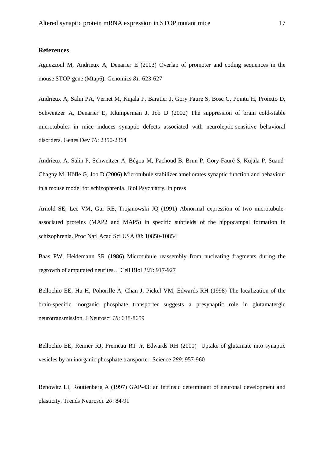#### **References**

Aguezzoul M, Andrieux A, Denarier E (2003) Overlap of promoter and coding sequences in the mouse STOP gene (Mtap6). Genomics *81*: 623-627

Andrieux A, Salin PA, Vernet M, Kujala P, Baratier J, Gory Faure S, Bosc C, Pointu H, Proietto D, Schweitzer A, Denarier E, Klumperman J, Job D (2002) The suppression of brain cold-stable microtubules in mice induces synaptic defects associated with neuroleptic-sensitive behavioral disorders. Genes Dev *16*: 2350-2364

Andrieux A, Salin P, Schweitzer A, Bégou M, Pachoud B, Brun P, Gory-Fauré S, Kujala P, Suaud-Chagny M, Höfle G, Job D (2006) Microtubule stabilizer ameliorates synaptic function and behaviour in a mouse model for schizophrenia. Biol Psychiatry. In press

Arnold SE, Lee VM, Gur RE, Trojanowski JQ (1991) Abnormal expression of two microtubuleassociated proteins (MAP2 and MAP5) in specific subfields of the hippocampal formation in schizophrenia. Proc Natl Acad Sci USA *88*: 10850-10854

Baas PW, Heidemann SR (1986) Microtubule reassembly from nucleating fragments during the regrowth of amputated neurites. J Cell Biol *103*: 917-927

Bellochio EE, Hu H, Pohorille A, Chan J, Pickel VM, Edwards RH (1998) The localization of the brain-specific inorganic phosphate transporter suggests a presynaptic role in glutamatergic neurotransmission. J Neurosci *18*: 638-8659

Bellochio EE, Reimer RJ, Fremeau RT Jr, Edwards RH (2000) Uptake of glutamate into synaptic vesicles by an inorganic phosphate transporter. Science *289*: 957-960

Benowitz LI, Routtenberg A (1997) GAP-43: an intrinsic determinant of neuronal development and plasticity. Trends Neurosci. *20*: 84-91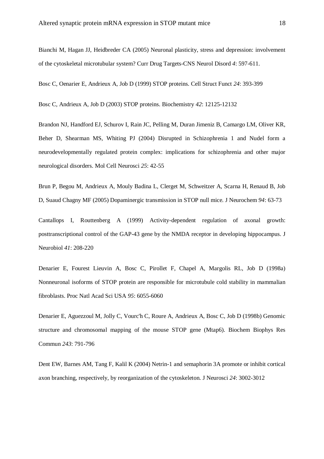Bianchi M, Hagan JJ, Heidbreder CA (2005) Neuronal plasticity, stress and depression: involvement of the cytoskeletal microtubular system? Curr Drug Targets-CNS Neurol Disord *4*: 597-611.

Bosc C, Oenarier E, Andrieux A, Job D (1999) STOP proteins. Cell Struct Funct *24*: 393-399

Bosc C, Andrieux A, Job D (2003) STOP proteins. Biochemistry *42*: 12125-12132

Brandon NJ, Handford EJ, Schurov I, Rain JC, Pelling M, Duran Jimeniz B, Camargo LM, Oliver KR, Beher D, Shearman MS, Whiting PJ (2004) Disrupted in Schizophrenia 1 and Nudel form a neurodevelopmentally regulated protein complex: implications for schizophrenia and other major neurological disorders. Mol Cell Neurosci *25*: 42-55

Brun P, Begou M, Andrieux A, Mouly Badina L, Clerget M, Schweitzer A, Scarna H, Renaud B, Job D, Suaud Chagny MF (2005) Dopaminergic transmission in STOP null mice. J Neurochem *94*: 63-73

Cantallops I, Routtenberg A (1999) Activity-dependent regulation of axonal growth: posttranscriptional control of the GAP-43 gene by the NMDA receptor in developing hippocampus. J Neurobiol *41*: 208-220

Denarier E, Fourest Lieuvin A, Bosc C, Pirollet F, Chapel A, Margolis RL, Job D (1998a) Nonneuronal isoforms of STOP protein are responsible for microtubule cold stability in mammalian fibroblasts. Proc Natl Acad Sci USA *95*: 6055-6060

Denarier E, Aguezzoul M, Jolly C, Vourc'h C, Roure A, Andrieux A, Bosc C, Job D (1998b) Genomic structure and chromosomal mapping of the mouse STOP gene (Mtap6). Biochem Biophys Res Commun *243*: 791-796

Dent EW, Barnes AM, Tang F, Kalil K (2004) Netrin-1 and semaphorin 3A promote or inhibit cortical axon branching, respectively, by reorganization of the cytoskeleton. J Neurosci *24*: 3002-3012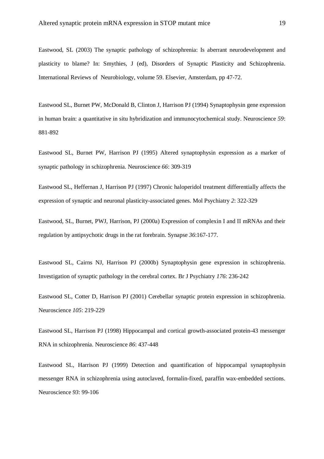Eastwood, SL (2003) The synaptic pathology of schizophrenia: Is aberrant neurodevelopment and plasticity to blame? In: Smythies, J (ed), Disorders of Synaptic Plasticity and Schizophrenia. International Reviews of Neurobiology, volume 59. Elsevier, Amsterdam, pp 47-72.

Eastwood SL, Burnet PW, McDonald B, Clinton J, Harrison PJ (1994) Synaptophysin gene expression in human brain: a quantitative in situ hybridization and immunocytochemical study. Neuroscience *59*: 881-892

Eastwood SL, Burnet PW, Harrison PJ (1995) Altered synaptophysin expression as a marker of synaptic pathology in schizophrenia. Neuroscience *66*: 309-319

Eastwood SL, Heffernan J, Harrison PJ (1997) Chronic haloperidol treatment differentially affects the expression of synaptic and neuronal plasticity-associated genes. Mol Psychiatry *2*: 322-329

Eastwood, SL, Burnet, PWJ, Harrison, PJ (2000a) Expression of complexin I and II mRNAs and their regulation by antipsychotic drugs in the rat forebrain. Synapse *36*:167-177.

Eastwood SL, Cairns NJ, Harrison PJ (2000b) Synaptophysin gene expression in schizophrenia. Investigation of synaptic pathology in the cerebral cortex. Br J Psychiatry *176*: 236-242

Eastwood SL, Cotter D, Harrison PJ (2001) Cerebellar synaptic protein expression in schizophrenia. Neuroscience *105*: 219-229

Eastwood SL, Harrison PJ (1998) Hippocampal and cortical growth-associated protein-43 messenger RNA in schizophrenia. Neuroscience *86*: 437-448

Eastwood SL, Harrison PJ (1999) Detection and quantification of hippocampal synaptophysin messenger RNA in schizophrenia using autoclaved, formalin-fixed, paraffin wax-embedded sections. Neuroscience *93*: 99-106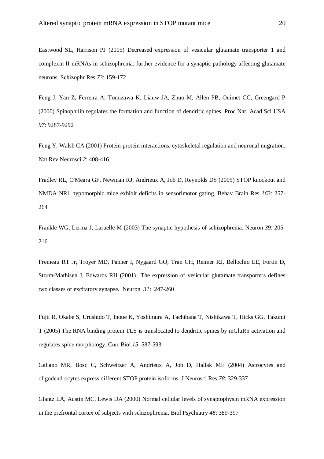Eastwood SL, Harrison PJ (2005) Decreased expression of vesicular glutamate transporter 1 and complexin II mRNAs in schizophrenia: further evidence for a synaptic pathology affecting glutamate neurons. Schizophr Res *73*: 159-172

Feng J, Yan Z, Ferreira A, Tomizawa K, Liauw JA, Zhuo M, Allen PB, Ouimet CC, Greengard P (2000) Spinophilin regulates the formation and function of dendritic spines. Proc Natl Acad Sci USA *97*: 9287-9292

Feng Y, Walsh CA (2001) Protein-protein interactions, cytoskeletal regulation and neuronal migration. Nat Rev Neurosci *2*: 408-416

Fradley RL, O'Meara GF, Newman RJ, Andrieux A, Job D, Reynolds DS (2005) STOP knockout and NMDA NR1 hypomorphic mice exhibit deficits in sensorimotor gating. Behav Brain Res *163*: 257- 264

Frankle WG, Lerma J, Laruelle M (2003) The synaptic hypothesis of schizophrenia. Neuron *39*: 205- 216

Fremeau RT Jr, Troyer MD, Pahner I, Nygaard GO, Tran CH, Reimer RJ, Bellochio EE, Fortin D, Storm-Mathisen J, Edwards RH (2001) The expression of vesicular glutamate transporters defines two classes of excitatory synapse. Neuron *31*: 247-260

Fujii R, Okabe S, Urushido T, Inoue K, Yoshimura A, Tachibana T, Nishikawa T, Hicks GG, Takumi T (2005) The RNA binding protein TLS is translocated to dendritic spines by mGluR5 activation and regulates spine morphology. Curr Biol *15*: 587-593

Galiano MR, Bosc C, Schweitzer A, Andrieux A, Job D, Hallak ME (2004) Astrocytes and oligodendrocytes express different STOP protein isoforms. J Neurosci Res *78*: 329-337

Glantz LA, Austin MC, Lewis DA (2000) Normal cellular levels of synaptophysin mRNA expression in the prefrontal cortex of subjects with schizophrenia. Biol Psychiatry *48*: 389-397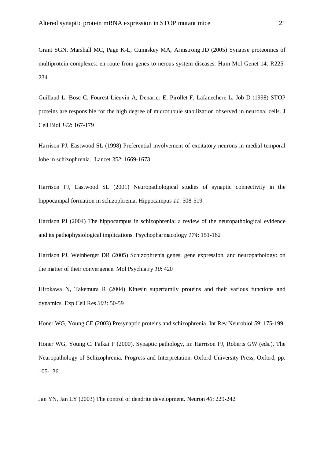Grant SGN, Marshall MC, Page K-L, Cumiskey MA, Armstrong JD (2005) Synapse proteomics of multiprotein complexes: en route from genes to nerous system diseases. Hum Mol Genet 14: R225- 234

Guillaud L, Bosc C, Fourest Lieuvin A, Denarier E, Pirollet F, Lafanechere L, Job D (1998) STOP proteins are responsible for the high degree of microtubule stabilization observed in neuronal cells. J Cell Biol *142*: 167-179

Harrison PJ, Eastwood SL (1998) Preferential involvement of excitatory neurons in medial temporal lobe in schizophrenia. Lancet *352*: 1669-1673

Harrison PJ, Eastwood SL (2001) Neuropathological studies of synaptic connectivity in the hippocampal formation in schizophrenia. Hippocampus *11*: 508-519

Harrison PJ (2004) The hippocampus in schizophrenia: a review of the neuropathological evidence and its pathophysiological implications. Psychopharmacology *174*: 151-162

Harrison PJ, Weinberger DR (2005) Schizophrenia genes, gene expression, and neuropathology: on the matter of their convergence. Mol Psychiatry *10*: 420

Hirokawa N, Takemura R (2004) Kinesin superfamily proteins and their various functions and dynamics. Exp Cell Res *301*: 50-59

Honer WG, Young CE (2003) Presynaptic proteins and schizophrenia. Int Rev Neurobiol *59*: 175-199

Honer WG, Young C. Falkai P (2000). Synaptic pathology, in: Harrison PJ, Roberts GW (eds.), The Neuropathology of Schizophrenia. Progress and Interpretation. Oxford University Press, Oxford, pp. 105-136.

Jan YN, Jan LY (2003) The control of dendrite development. Neuron *40*: 229-242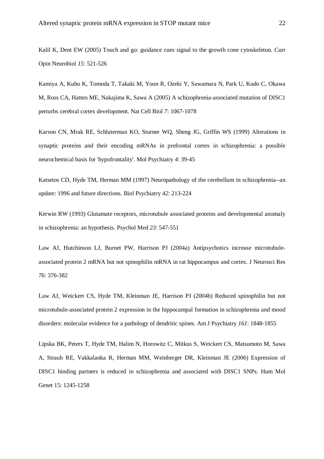Kalil K, Dent EW (2005) Touch and go: guidance cues signal to the growth cone cytoskeleton. Curr Opin Neurobiol *15*: 521-526

Kamiya A, Kubo K, Tomoda T, Takaki M, Youn R, Ozeki Y, Sawamura N, Park U, Kudo C, Okawa M, Ross CA, Hatten ME, Nakajima K, Sawa A (2005) A schizophrenia-associated mutation of DISC1 perturbs cerebral cortex development. Nat Cell Biol *7*: 1067-1078

Karson CN, Mrak RE, Schluterman KO, Sturner WQ, Sheng JG, Griffin WS (1999) Alterations in synaptic proteins and their encoding mRNAs in prefrontal cortex in schizophrenia: a possible neurochemical basis for 'hypofrontality'. Mol Psychiatry *4*: 39-45

Katsetos CD, Hyde TM, Herman MM (1997) Neuropathology of the cerebellum in schizophrenia--an update: 1996 and future directions. Biol Psychiatry *42*: 213-224

Kerwin RW (1993) Glutamate receptors, microtubule associated proteins and developmental anomaly in schizophrenia: an hypothesis. Psychol Med *23*: 547-551

Law AJ, Hutchinson LJ, Burnet PW, Harrison PJ (2004a) Antipsychotics increase microtubuleassociated protein 2 mRNA but not spinophilin mRNA in rat hippocampus and cortex. J Neurosci Res *76*: 376-382

Law AJ, Weickert CS, Hyde TM, Kleinman JE, Harrison PJ (2004b) Reduced spinophilin but not microtubule-associated protein 2 expression in the hippocampal formation in schizophrenia and mood disorders: molecular evidence for a pathology of dendritic spines. Am J Psychiatry *161*: 1848-1855

Lipska BK, Peters T, Hyde TM, Halim N, Horowitz C, Mitkus S, Weickert CS, Matsumoto M, Sawa A, Straub RE, Vakkalanka R, Herman MM, Weinberger DR, Kleinman JE (2006) Expression of DISC1 binding partners is reduced in schizophrenia and associated with DISC1 SNPs. Hum Mol Genet 15: 1245-1258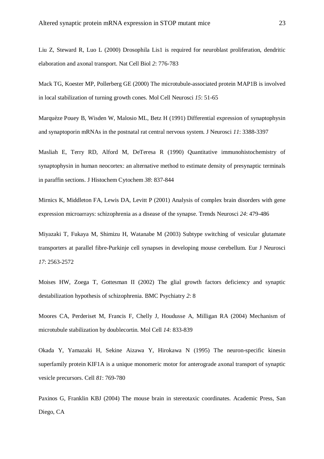Liu Z, Steward R, Luo L (2000) Drosophila Lis1 is required for neuroblast proliferation, dendritic elaboration and axonal transport. Nat Cell Biol *2*: 776-783

Mack TG, Koester MP, Pollerberg GE (2000) The microtubule-associated protein MAP1B is involved in local stabilization of turning growth cones. Mol Cell Neurosci *15*: 51-65

Marquèze Pouey B, Wisden W, Malosio ML, Betz H (1991) Differential expression of synaptophysin and synaptoporin mRNAs in the postnatal rat central nervous system. J Neurosci *11*: 3388-3397

Masliah E, Terry RD, Alford M, DeTeresa R (1990) Quantitative immunohistochemistry of synaptophysin in human neocortex: an alternative method to estimate density of presynaptic terminals in paraffin sections. J Histochem Cytochem *38*: 837-844

Mirnics K, Middleton FA, Lewis DA, Levitt P (2001) Analysis of complex brain disorders with gene expression microarrays: schizophrenia as a disease of the synapse. Trends Neurosci *24*: 479-486

Miyazaki T, Fukaya M, Shimizu H, Watanabe M (2003) Subtype switching of vesicular glutamate transporters at parallel fibre-Purkinje cell synapses in developing mouse cerebellum. Eur J Neurosci *17*: 2563-2572

Moises HW, Zoega T, Gottesman II (2002) The glial growth factors deficiency and synaptic destabilization hypothesis of schizophrenia. BMC Psychiatry *2*: 8

Moores CA, Perderiset M, Francis F, Chelly J, Houdusse A, Milligan RA (2004) Mechanism of microtubule stabilization by doublecortin. Mol Cell *14*: 833-839

Okada Y, Yamazaki H, Sekine Aizawa Y, Hirokawa N (1995) The neuron-specific kinesin superfamily protein KIF1A is a unique monomeric motor for anterograde axonal transport of synaptic vesicle precursors. Cell *81*: 769-780

Paxinos G, Franklin KBJ (2004) The mouse brain in stereotaxic coordinates. Academic Press, San Diego, CA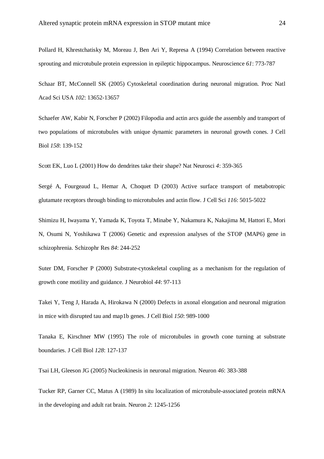Pollard H, Khrestchatisky M, Moreau J, Ben Ari Y, Represa A (1994) Correlation between reactive sprouting and microtubule protein expression in epileptic hippocampus. Neuroscience *61*: 773-787

Schaar BT, McConnell SK (2005) Cytoskeletal coordination during neuronal migration. Proc Natl Acad Sci USA *102*: 13652-13657

Schaefer AW, Kabir N, Forscher P (2002) Filopodia and actin arcs guide the assembly and transport of two populations of microtubules with unique dynamic parameters in neuronal growth cones. J Cell Biol *158*: 139-152

Scott EK, Luo L (2001) How do dendrites take their shape? Nat Neurosci *4*: 359-365

Sergé A, Fourgeaud L, Hemar A, Choquet D (2003) Active surface transport of metabotropic glutamate receptors through binding to microtubules and actin flow. J Cell Sci *116*: 5015-5022

Shimizu H, Iwayama Y, Yamada K, Toyota T, Minabe Y, Nakamura K, Nakajima M, Hattori E, Mori N, Osumi N, Yoshikawa T (2006) Genetic and expression analyses of the STOP (MAP6) gene in schizophrenia. Schizophr Res *84*: 244-252

Suter DM, Forscher P (2000) Substrate-cytoskeletal coupling as a mechanism for the regulation of growth cone motility and guidance. J Neurobiol *44*: 97-113

Takei Y, Teng J, Harada A, Hirokawa N (2000) Defects in axonal elongation and neuronal migration in mice with disrupted tau and map1b genes. J Cell Biol *150*: 989-1000

Tanaka E, Kirschner MW (1995) The role of microtubules in growth cone turning at substrate boundaries. J Cell Biol *128*: 127-137

Tsai LH, Gleeson JG (2005) Nucleokinesis in neuronal migration. Neuron *46*: 383-388

Tucker RP, Garner CC, Matus A (1989) In situ localization of microtubule-associated protein mRNA in the developing and adult rat brain. Neuron *2*: 1245-1256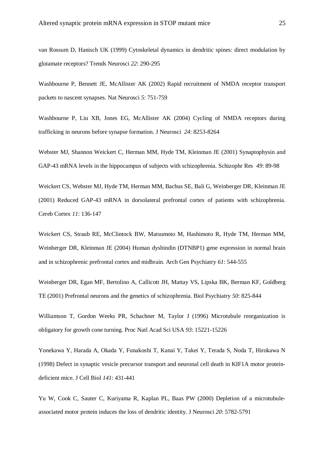van Rossum D, Hanisch UK (1999) Cytoskeletal dynamics in dendritic spines: direct modulation by glutamate receptors? Trends Neurosci *22*: 290-295

Washbourne P, Bennett JE, McAllister AK (2002) Rapid recruitment of NMDA receptor transport packets to nascent synapses. Nat Neurosci *5*: 751-759

Washbourne P, Liu XB, Jones EG, McAllister AK (2004) Cycling of NMDA receptors during trafficking in neurons before synapse formation. J Neurosci *24*: 8253-8264

Webster MJ, Shannon Weickert C, Herman MM, Hyde TM, Kleinman JE (2001) Synaptophysin and GAP-43 mRNA levels in the hippocampus of subjects with schizophrenia. Schizophr Res *49*: 89-98

Weickert CS, Webster MJ, Hyde TM, Herman MM, Bachus SE, Bali G, Weinberger DR, Kleinman JE (2001) Reduced GAP-43 mRNA in dorsolateral prefrontal cortex of patients with schizophrenia. Cereb Cortex *11*: 136-147

Weickert CS, Straub RE, McClintock BW, Matsumoto M, Hashimoto R, Hyde TM, Herman MM, Weinberger DR, Kleinman JE (2004) Human dysbindin (DTNBP1) gene expression in normal brain and in schizophrenic prefrontal cortex and midbrain. Arch Gen Psychiatry *61*: 544-555

Weinberger DR, Egan MF, Bertolino A, Callicott JH, Mattay VS, Lipska BK, Berman KF, Goldberg TE (2001) Prefrontal neurons and the genetics of schizophrenia. Biol Psychiatry *50*: 825-844

Williamson T, Gordon Weeks PR, Schachner M, Taylor J (1996) Microtubule reorganization is obligatory for growth cone turning. Proc Natl Acad Sci USA *93*: 15221-15226

Yonekawa Y, Harada A, Okada Y, Funakoshi T, Kanai Y, Takei Y, Terada S, Noda T, Hirokawa N (1998) Defect in synaptic vesicle precursor transport and neuronal cell death in KIF1A motor proteindeficient mice. J Cell Biol *141*: 431-441

Yu W, Cook C, Sauter C, Kuriyama R, Kaplan PL, Baas PW (2000) Depletion of a microtubuleassociated motor protein induces the loss of dendritic identity. J Neurosci *20*: 5782-5791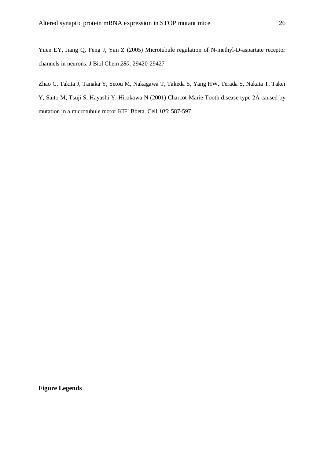Yuen EY, Jiang Q, Feng J, Yan Z (2005) Microtubule regulation of N-methyl-D-aspartate receptor channels in neurons. J Biol Chem *280*: 29420-29427

Zhao C, Takita J, Tanaka Y, Setou M, Nakagawa T, Takeda S, Yang HW, Terada S, Nakata T, Takei Y, Saito M, Tsuji S, Hayashi Y, Hirokawa N (2001) Charcot-Marie-Tooth disease type 2A caused by mutation in a microtubule motor KIF1Bbeta. Cell *105*: 587-597

**Figure Legends**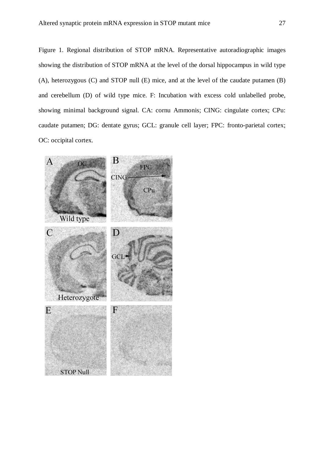Figure 1. Regional distribution of STOP mRNA. Representative autoradiographic images showing the distribution of STOP mRNA at the level of the dorsal hippocampus in wild type (A), heterozygous (C) and STOP null (E) mice, and at the level of the caudate putamen (B) and cerebellum (D) of wild type mice. F: Incubation with excess cold unlabelled probe, showing minimal background signal. CA: cornu Ammonis; CING: cingulate cortex; CPu: caudate putamen; DG: dentate gyrus; GCL: granule cell layer; FPC: fronto-parietal cortex; OC: occipital cortex.

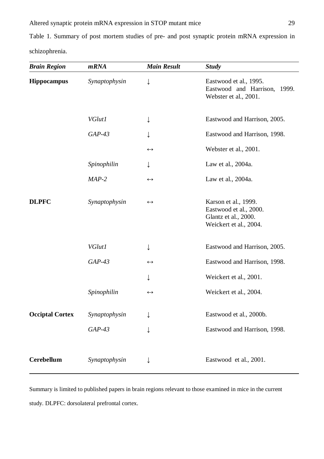Table 1. Summary of post mortem studies of pre- and post synaptic protein mRNA expression in schizophrenia.

| <b>Brain Region</b>    | mRNA          | <b>Main Result</b> | <b>Study</b>                                                                                     |
|------------------------|---------------|--------------------|--------------------------------------------------------------------------------------------------|
| <b>Hippocampus</b>     | Synaptophysin | ↓                  | Eastwood et al., 1995.<br>Eastwood and Harrison,<br>1999.<br>Webster et al., 2001.               |
|                        | <b>VGlut1</b> | ↓                  | Eastwood and Harrison, 2005.                                                                     |
|                        | $GAP-43$      |                    | Eastwood and Harrison, 1998.                                                                     |
|                        |               | $\leftrightarrow$  | Webster et al., 2001.                                                                            |
|                        | Spinophilin   | $\downarrow$       | Law et al., 2004a.                                                                               |
|                        | $MAP-2$       | $\leftrightarrow$  | Law et al., 2004a.                                                                               |
| <b>DLPFC</b>           | Synaptophysin | $\leftrightarrow$  | Karson et al., 1999.<br>Eastwood et al., 2000.<br>Glantz et al., 2000.<br>Weickert et al., 2004. |
|                        | <b>VGlut1</b> |                    | Eastwood and Harrison, 2005.                                                                     |
|                        | $GAP-43$      | $\leftrightarrow$  | Eastwood and Harrison, 1998.                                                                     |
|                        |               |                    | Weickert et al., 2001.                                                                           |
|                        | Spinophilin   | $\leftrightarrow$  | Weickert et al., 2004.                                                                           |
| <b>Occiptal Cortex</b> | Synaptophysin |                    | Eastwood et al., 2000b.                                                                          |
|                        | $GAP-43$      |                    | Eastwood and Harrison, 1998.                                                                     |
| <b>Cerebellum</b>      | Synaptophysin |                    | Eastwood et al., 2001.                                                                           |

Summary is limited to published papers in brain regions relevant to those examined in mice in the current study. DLPFC: dorsolateral prefrontal cortex.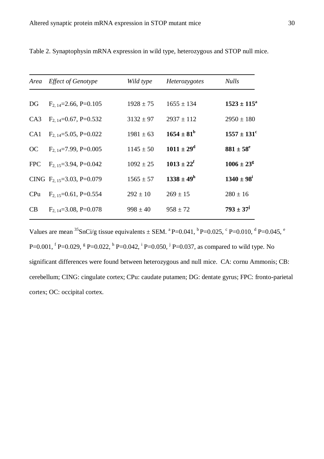| Area            | <b>Effect of Genotype</b>        | Wild type     | Heterozygotes         | <b>Nulls</b>           |
|-----------------|----------------------------------|---------------|-----------------------|------------------------|
|                 |                                  |               |                       |                        |
| DG              | $F_{2, 14} = 2.66, P = 0.105$    | $1928 \pm 75$ | $1655 \pm 134$        | $1523 \pm 115^{\circ}$ |
| CA3             | $F_{2, 14} = 0.67, P = 0.532$    | $3132 \pm 97$ | $2937 \pm 112$        | $2950 \pm 180$         |
| CA <sub>1</sub> | $F_{2, 14} = 5.05, P = 0.022$    | $1981 \pm 63$ | $1654 \pm 81^b$       | $1557 \pm 131^{\circ}$ |
| <b>OC</b>       | $F_{2,14}=7.99, P=0.005$         | $1145 \pm 50$ | $1011 \pm 29^{\rm d}$ | $881 \pm 58^e$         |
| <b>FPC</b>      | $F_{2, 15} = 3.94$ , P=0.042     | $1092 \pm 25$ | $1013 \pm 22^f$       | $1006 \pm 23^8$        |
|                 | CING $F_{2.15} = 3.03$ , P=0.079 | $1565 \pm 57$ | $1338 \pm 49^{\rm h}$ | $1340 \pm 98^{\rm i}$  |
| CPu             | $F_{2, 15} = 0.61$ , P=0.554     | $292 \pm 10$  | $269 \pm 15$          | $280 \pm 16$           |
| CB              | $F_{2,14}=3.08, P=0.078$         | $998 \pm 40$  | $958 \pm 72$          | $793 \pm 37^{j}$       |

Table 2. Synaptophysin mRNA expression in wild type, heterozygous and STOP null mice.

Values are mean <sup>35</sup>SnCi/g tissue equivalents  $\pm$  SEM.  $^{a}$  P=0.041,  $^{b}$  P=0.025,  $^{c}$  P=0.010,  $^{d}$  P=0.045,  $^{e}$ P=0.001,  ${}^{\text{f}}$  P=0.029,  ${}^{\text{g}}$  P=0.022,  ${}^{\text{h}}$  P=0.042,  ${}^{\text{i}}$  P=0.050,  ${}^{\text{j}}$  P=0.037, as compared to wild type. No significant differences were found between heterozygous and null mice. CA: cornu Ammonis; CB: cerebellum; CING: cingulate cortex; CPu: caudate putamen; DG: dentate gyrus; FPC: fronto-parietal cortex; OC: occipital cortex.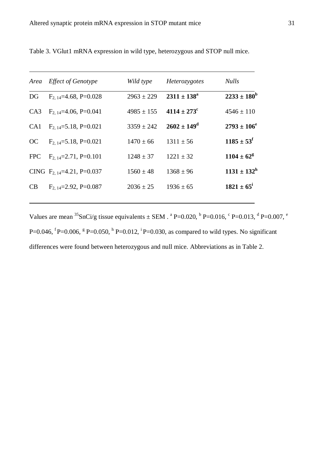| Area            | <b>Effect of Genotype</b>        | Wild type      | Heterozygotes               | <b>Nulls</b>           |
|-----------------|----------------------------------|----------------|-----------------------------|------------------------|
| DG              | $F_{2,14} = 4.68$ , P=0.028      | $2963 \pm 229$ | $2311 \pm 138^a$            | $2233 \pm 180^b$       |
| CA <sub>3</sub> | $F_{2,14} = 4.06, P = 0.041$     | $4985 \pm 155$ | $4114 \pm 273$ <sup>c</sup> | $4546 \pm 110$         |
| CA1             | $F_{2, 14} = 5.18$ , P=0.021     | $3359 \pm 242$ | $2602 \pm 149^{\rm d}$      | $2793 \pm 106^e$       |
| OC              | $F_{2, 14} = 5.18$ , P=0.021     | $1470 \pm 66$  | $1311 \pm 56$               | $1185 \pm 53^{\circ}$  |
| <b>FPC</b>      | $F_{2,14}=2.71, P=0.101$         | $1248 \pm 37$  | $1221 \pm 32$               | $1104 \pm 62^8$        |
|                 | CING $F_{2,14} = 4.21$ , P=0.037 | $1560 \pm 48$  | $1368 \pm 96$               | $1131 \pm 132^{\rm h}$ |
| CB              | $F_{2,14}=2.92, P=0.087$         | $2036 \pm 25$  | $1936 \pm 65$               | $1821 \pm 65^{\circ}$  |
|                 |                                  |                |                             |                        |

Table 3. VGlut1 mRNA expression in wild type, heterozygous and STOP null mice.

Values are mean <sup>35</sup>SnCi/g tissue equivalents  $\pm$  SEM . <sup>a</sup> P=0.020, <sup>b</sup> P=0.016, <sup>c</sup> P=0.013, <sup>d</sup> P=0.007, <sup>e</sup> P=0.046,  ${}^{f}$ P=0.006,  ${}^{g}$  P=0.050,  ${}^{h}$  P=0.012,  ${}^{i}$ P=0.030, as compared to wild types. No significant differences were found between heterozygous and null mice. Abbreviations as in Table 2.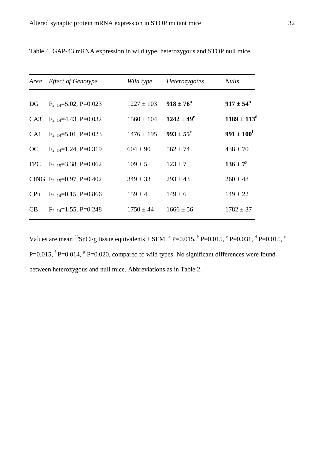| Area            | <b>Effect of Genotype</b>        | Wild type      | Heterozygotes         | <b>Nulls</b>          |
|-----------------|----------------------------------|----------------|-----------------------|-----------------------|
| DG              | $F_{2, 14} = 5.02$ , P=0.023     | $1227 \pm 103$ | $918 \pm 76^{\rm a}$  | $917 \pm 54^{\rm b}$  |
| CA3             | $F_{2,14} = 4.43$ , P=0.032      | $1560 \pm 104$ | $1242 \pm 49^{\circ}$ | $1189 \pm 113^d$      |
| CA <sub>1</sub> | $F_{2, 14} = 5.01$ , P=0.023     | $1476 \pm 195$ | $993 \pm 55^{\circ}$  | $991 \pm 100^{\rm f}$ |
| OC              | $F_{2,14}=1.24$ , P=0.319        | $604 \pm 90$   | $562 \pm 74$          | $438 \pm 70$          |
| <b>FPC</b>      | $F_{2, 15} = 3.38$ , P=0.062     | $109 \pm 5$    | $123 \pm 7$           | $136 \pm 7^{\rm g}$   |
|                 | CING $F_{2.15} = 0.97$ , P=0.402 | $349 \pm 33$   | $293 \pm 43$          | $260 \pm 48$          |
| CPu             | $F_{2, 14} = 0.15$ , P=0.866     | $159 \pm 4$    | $149 \pm 6$           | $149 \pm 22$          |
| CB              | $F_{2, 14} = 1.55$ , P=0.248     | $1750 \pm 44$  | $1666 \pm 56$         | $1782 \pm 37$         |

Table 4. GAP-43 mRNA expression in wild type, heterozygous and STOP null mice.

Values are mean  ${}^{35}$ SnCi/g tissue equivalents  $\pm$  SEM.  ${}^{a}$  P=0.015,  ${}^{b}$ P=0.015,  ${}^{c}$  P=0.031,  ${}^{d}$  P=0.015,  ${}^{e}$ P=0.015,  ${}^f$  P=0.014,  ${}^g$  P=0.020, compared to wild types. No significant differences were found between heterozygous and null mice. Abbreviations as in Table 2.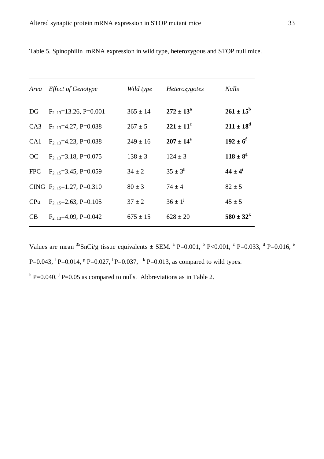| Area       | <b>Effect of Genotype</b>        | Wild type    | Heterozygotes        | <b>Nulls</b>         |
|------------|----------------------------------|--------------|----------------------|----------------------|
|            |                                  |              |                      |                      |
| DG         | $F_{2, 13} = 13.26$ , P=0.001    | $365 \pm 14$ | $272 \pm 13^{\rm a}$ | $261 \pm 15^{\rm b}$ |
| CA3        | $F_{2, 13} = 4.27$ , P=0.038     | $267 \pm 5$  | $221 \pm 11^{\circ}$ | $211 \pm 18^{\rm d}$ |
| CA1        | $F_{2,13}=4.23, P=0.038$         | $249 \pm 16$ | $207 \pm 14^e$       | $192 \pm 6^f$        |
| OC         | $F_{2, 13} = 3.18$ , P=0.075     | $138 \pm 3$  | $124 \pm 3$          | $118 \pm 8^{\circ}$  |
| <b>FPC</b> | $F_{2,15}=3.45, P=0.059$         | $34 \pm 2$   | $35 \pm 3^{\rm h}$   | $44 \pm 4^{\rm i}$   |
|            | CING $F_{2.15} = 1.27$ , P=0.310 | $80 \pm 3$   | $74 \pm 4$           | $82 \pm 5$           |
| CPu        | $F_{2,15}=2.63, P=0.105$         | $37 \pm 2$   | $36 \pm 1^{j}$       | $45 \pm 5$           |
| CB         | $F_{2, 13} = 4.09$ , P=0.042     | $675 \pm 15$ | $628 \pm 20$         | $580 \pm 32^k$       |
|            |                                  |              |                      |                      |

Table 5. Spinophilin mRNA expression in wild type, heterozygous and STOP null mice.

Values are mean <sup>35</sup>SnCi/g tissue equivalents  $\pm$  SEM. <sup>a</sup> P=0.001, <sup>b</sup> P<0.001, <sup>c</sup> P=0.033, <sup>d</sup> P=0.016, <sup>e</sup> P=0.043,  ${}^f$  P=0.014,  ${}^g$  P=0.027,  ${}^i$  P=0.037,  ${}^k$  P=0.013, as compared to wild types.

 $h$  P=0.040,  $\dot{h}$  P=0.05 as compared to nulls. Abbreviations as in Table 2.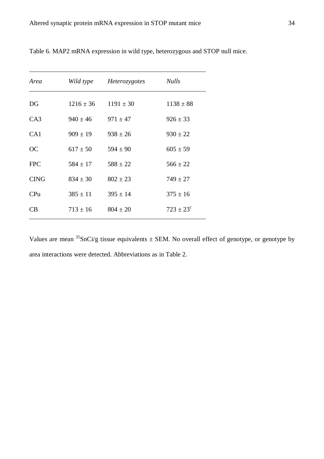| Area            | Wild type     | Heterozygotes | <b>Nulls</b>         |
|-----------------|---------------|---------------|----------------------|
| DG              | $1216 \pm 36$ | $1191 \pm 30$ | $1138 \pm 88$        |
| CA3             | $940 \pm 46$  | $971 \pm 47$  | $926 \pm 33$         |
| CA <sub>1</sub> | $909 \pm 19$  | $938 \pm 26$  | $930 \pm 22$         |
| <b>OC</b>       | $617 \pm 50$  | $594 \pm 90$  | $605 \pm 59$         |
| <b>FPC</b>      | $584 \pm 17$  | $588 \pm 22$  | $566 \pm 22$         |
| <b>CING</b>     | $834 \pm 30$  | $802 \pm 23$  | $749 \pm 27$         |
| CP <sub>u</sub> | $385 \pm 11$  | $395 \pm 14$  | $375 \pm 16$         |
| <b>CB</b>       | $713 \pm 16$  | $804 \pm 20$  | $723 \pm 23^{\circ}$ |
|                 |               |               |                      |

Table 6. MAP2 mRNA expression in wild type, heterozygous and STOP null mice.

Values are mean  ${}^{35}$ SnCi/g tissue equivalents  $\pm$  SEM. No overall effect of genotype, or genotype by area interactions were detected. Abbreviations as in Table 2.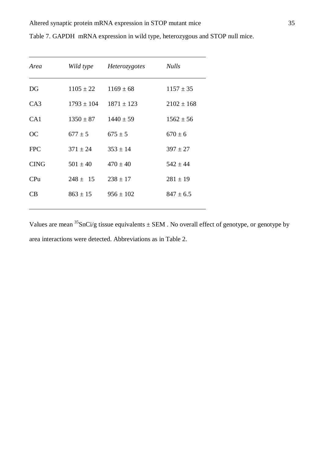| Area            | Wild type      | Heterozygotes  | <b>Nulls</b>   |
|-----------------|----------------|----------------|----------------|
| DG              | $1105 \pm 22$  | $1169 \pm 68$  | $1157 \pm 35$  |
| CA3             | $1793 \pm 104$ | $1871 \pm 123$ | $2102 \pm 168$ |
| CA <sub>1</sub> | $1350 \pm 87$  | $1440 \pm 59$  | $1562 \pm 56$  |
| <b>OC</b>       | $677 \pm 5$    | $675 \pm 5$    | $670 \pm 6$    |
| <b>FPC</b>      | $371 \pm 24$   | $353 \pm 14$   | $397 \pm 27$   |
| <b>CING</b>     | $501 \pm 40$   | $470 \pm 40$   | $542 \pm 44$   |
| CPu             | $248 \pm 15$   | $238 \pm 17$   | $281 \pm 19$   |
| CB.             | $863 \pm 15$   | $956 \pm 102$  | $847 \pm 6.5$  |
|                 |                |                |                |

Table 7. GAPDH mRNA expression in wild type, heterozygous and STOP null mice.

Values are mean  ${}^{35}SnCi/g$  tissue equivalents  $\pm$  SEM . No overall effect of genotype, or genotype by area interactions were detected. Abbreviations as in Table 2.